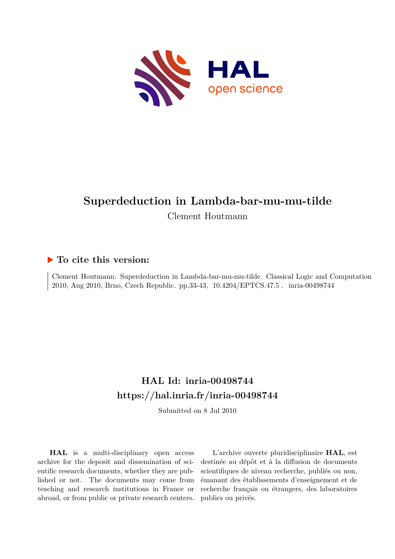

# **Superdeduction in Lambda-bar-mu-mu-tilde** Clement Houtmann

### **To cite this version:**

Clement Houtmann. Superdeduction in Lambda-bar-mu-mu-tilde. Classical Logic and Computation 2010, Aug 2010, Brno, Czech Republic. pp.33-43, 10.4204/EPTCS.47.5 inria-00498744

## **HAL Id: inria-00498744 <https://hal.inria.fr/inria-00498744>**

Submitted on 8 Jul 2010

**HAL** is a multi-disciplinary open access archive for the deposit and dissemination of scientific research documents, whether they are published or not. The documents may come from teaching and research institutions in France or abroad, or from public or private research centers.

L'archive ouverte pluridisciplinaire **HAL**, est destinée au dépôt et à la diffusion de documents scientifiques de niveau recherche, publiés ou non, émanant des établissements d'enseignement et de recherche français ou étrangers, des laboratoires publics ou privés.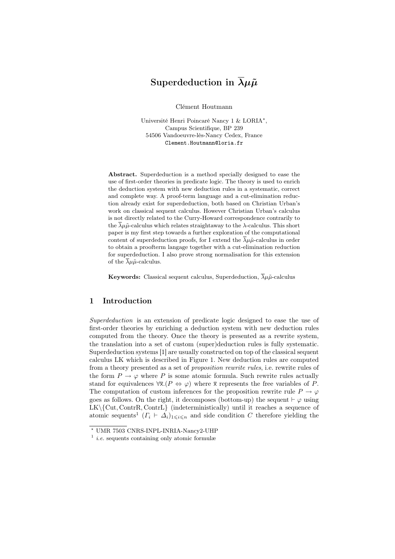### Superdeduction in  $\overline{\lambda}\mu\tilde{\mu}$

Clément Houtmann

Université Henri Poincaré Nancy 1 & LORIA\*, Campus Scientifique, BP 239 54506 Vandoeuvre-lès-Nancy Cedex, France Clement.Houtmann@loria.fr

Abstract. Superdeduction is a method specially designed to ease the use of first-order theories in predicate logic. The theory is used to enrich the deduction system with new deduction rules in a systematic, correct and complete way. A proof-term language and a cut-elimination reduction already exist for superdeduction, both based on Christian Urban's work on classical sequent calculus. However Christian Urban's calculus is not directly related to the Curry-Howard correspondence contrarily to the  $\overline{\lambda}\mu\tilde{\mu}$ -calculus which relates straightaway to the  $\lambda$ -calculus. This short paper is my first step towards a further exploration of the computational content of superdeduction proofs, for I extend the  $\overline{\lambda}\mu\tilde{\mu}$ -calculus in order to obtain a proofterm langage together with a cut-elimination reduction for superdeduction. I also prove strong normalisation for this extension of the  $\lambda \mu \tilde{\mu}$ -calculus.

**Keywords:** Classical sequent calculus, Superdeduction,  $\overline{\lambda}\mu\tilde{\mu}$ -calculus

#### 1 Introduction

Superdeduction is an extension of predicate logic designed to ease the use of first-order theories by enriching a deduction system with new deduction rules computed from the theory. Once the theory is presented as a rewrite system, the translation into a set of custom (super)deduction rules is fully systematic. Superdeduction systems [1] are usually constructed on top of the classical sequent calculus LK which is described in Figure 1. New deduction rules are computed from a theory presented as a set of proposition rewrite rules, i.e. rewrite rules of the form  $P \rightarrow \varphi$  where P is some atomic formula. Such rewrite rules actually stand for equivalences  $\forall \bar{x}.(P \Leftrightarrow \varphi)$  where  $\bar{x}$  represents the free variables of P. The computation of custom inferences for the proposition rewrite rule  $P \to \varphi$ goes as follows. On the right, it decomposes (bottom-up) the sequent  $\vdash \varphi$  using  $LK\setminus\{Cut, ContrR, ContrL\}$  (indeterministically) until it reaches a sequence of atomic sequents<sup>1</sup>  $(\Gamma_i \vdash \Delta_i)_{1 \leq i \leq n}$  and side condition C therefore yielding the

<sup>?</sup> UMR 7503 CNRS-INPL-INRIA-Nancy2-UHP

 $\frac{1}{i.e.}$  sequents containing only atomic formulæ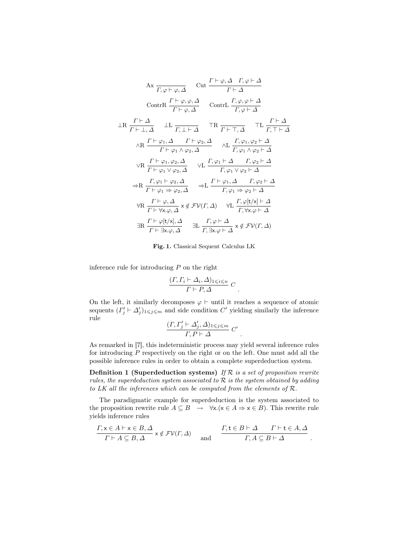$$
A x \frac{\Gamma \vdash \varphi, \Delta \quad \text{Cut } \frac{\Gamma \vdash \varphi, \Delta \quad \Gamma, \varphi \vdash \Delta}{\Gamma \vdash \Delta}
$$
\n
$$
\text{ContrR } \frac{\Gamma \vdash \varphi, \varphi, \Delta}{\Gamma \vdash \varphi, \Delta} \quad \text{ContrL } \frac{\Gamma, \varphi, \varphi \vdash \Delta}{\Gamma, \varphi \vdash \Delta}
$$
\n
$$
\perp R \frac{\Gamma \vdash \Delta}{\Gamma \vdash \perp, \Delta} \quad \perp L \frac{\Gamma \vdash \varphi, \Delta \quad \Gamma \vdash \varphi, \Delta}{\Gamma, \perp \vdash \Delta} \quad \text{TR } \frac{\Gamma \vdash \top, \Delta}{\Gamma \vdash \top, \Delta} \quad \perp L \frac{\Gamma \vdash \Delta}{\Gamma, \top \vdash \Delta}
$$
\n
$$
\wedge R \frac{\Gamma \vdash \varphi_1, \Delta \quad \Gamma \vdash \varphi_2, \Delta}{\Gamma \vdash \varphi_1 \wedge \varphi_2, \Delta} \quad \wedge L \frac{\Gamma, \varphi_1, \varphi_2 \vdash \Delta}{\Gamma, \varphi_1 \wedge \varphi_2 \vdash \Delta}
$$
\n
$$
\vee R \frac{\Gamma \vdash \varphi_1, \varphi_2, \Delta}{\Gamma \vdash \varphi_1 \vee \varphi_2, \Delta} \quad \vee L \frac{\Gamma, \varphi_1 \vdash \Delta \quad \Gamma, \varphi_2 \vdash \Delta}{\Gamma, \varphi_1 \vee \varphi_2 \vdash \Delta}
$$
\n
$$
\Rightarrow R \frac{\Gamma, \varphi_1 \vdash \varphi_2, \Delta}{\Gamma \vdash \varphi_1 \Rightarrow \varphi_2, \Delta} \quad \Rightarrow L \frac{\Gamma \vdash \varphi_1, \Delta \quad \Gamma, \varphi_2 \vdash \Delta}{\Gamma, \varphi_1 \Rightarrow \varphi_2 \vdash \Delta}
$$
\n
$$
\forall R \frac{\Gamma \vdash \varphi, \Delta}{\Gamma \vdash \forall x. \varphi, \Delta} x \notin \mathcal{FV}(\Gamma, \Delta) \quad \forall L \frac{\Gamma, \varphi[t/x] \vdash \Delta}{\Gamma, \forall x. \varphi \vdash \Delta}
$$
\n
$$
\exists R \frac{\Gamma \vdash \varphi[t/x], \Delta}{\Gamma \vdash \exists x. \varphi, \Delta} \quad \exists
$$

Fig. 1. Classical Sequent Calculus LK

inference rule for introducing  $P$  on the right

$$
\frac{(\Gamma, \Gamma_i \vdash \Delta_i, \Delta)_{1 \leq i \leq n}}{\Gamma \vdash P, \Delta} C.
$$

On the left, it similarly decomposes  $\varphi \vdash$  until it reaches a sequence of atomic sequents  $(\Gamma'_j \vdash \Delta'_j)_{1 \leq j \leq m}$  and side condition C' yielding similarly the inference rule

$$
\frac{(\varGamma,\varGamma'_j\vdash\varDelta'_j,\varDelta)_{1\leqslant j\leqslant m}}{\varGamma,P\vdash\varDelta}\;C'
$$

.

As remarked in [7], this indeterministic process may yield several inference rules for introducing P respectively on the right or on the left. One must add all the possible inference rules in order to obtain a complete superdeduction system.

**Definition 1 (Superdeduction systems)** If  $R$  is a set of proposition rewrite rules, the superdeduction system associated to  $R$  is the system obtained by adding to LK all the inferences which can be computed from the elements of  $\mathcal{R}$ .

The paradigmatic example for superdeduction is the system associated to the proposition rewrite rule  $A \subseteq B \rightarrow \forall x. (x \in A \Rightarrow x \in B)$ . This rewrite rule yields inference rules

$$
\frac{\Gamma, \mathsf{x} \in A \vdash \mathsf{x} \in B, \Delta}{\Gamma \vdash A \subseteq B, \Delta} \times \notin \mathcal{FV}(\Gamma, \Delta) \quad \text{and} \quad \frac{\Gamma, \mathsf{t} \in B \vdash \Delta \qquad \Gamma \vdash \mathsf{t} \in A, \Delta}{\Gamma, A \subseteq B \vdash \Delta}.
$$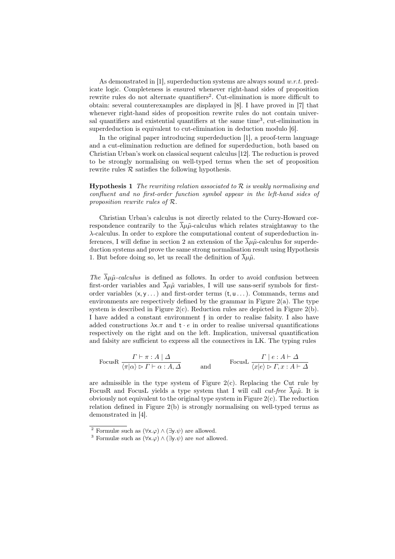As demonstrated in [1], superdeduction systems are always sound  $w.r.t.$  predicate logic. Completeness is ensured whenever right-hand sides of proposition rewrite rules do not alternate quantifiers<sup>2</sup>. Cut-elimination is more difficult to obtain: several counterexamples are displayed in [8]. I have proved in [7] that whenever right-hand sides of proposition rewrite rules do not contain universal quantifiers and existential quantifiers at the same time<sup>3</sup>, cut-elimination in superdeduction is equivalent to cut-elimination in deduction modulo [6].

In the original paper introducing superdeduction [1], a proof-term language and a cut-elimination reduction are defined for superdeduction, both based on Christian Urban's work on classical sequent calculus [12]. The reduction is proved to be strongly normalising on well-typed terms when the set of proposition rewrite rules  $R$  satisfies the following hypothesis.

**Hypothesis 1** The rewriting relation associated to  $\mathcal{R}$  is weakly normalising and confluent and no first-order function symbol appear in the left-hand sides of proposition rewrite rules of R.

Christian Urban's calculus is not directly related to the Curry-Howard correspondence contrarily to the  $\overline{\lambda}\mu\tilde{\mu}$ -calculus which relates straightaway to the λ-calculus. In order to explore the computational content of superdeduction inferences, I will define in section 2 an extension of the  $\lambda \mu \tilde{\mu}$ -calculus for superdeduction systems and prove the same strong normalisation result using Hypothesis 1. But before doing so, let us recall the definition of  $\overline{\lambda}\mu\tilde{\mu}$ .

The  $\lambda \mu \tilde{\mu}$ -calculus is defined as follows. In order to avoid confusion between first-order variables and  $\overline{\lambda}\mu\tilde{\mu}$  variables, I will use sans-serif symbols for firstorder variables  $(x, y \dots)$  and first-order terms  $(t, u \dots)$ . Commands, terms and environments are respectively defined by the grammar in Figure 2(a). The type system is described in Figure  $2(c)$ . Reduction rules are depicted in Figure  $2(b)$ . I have added a constant environment f in order to realise falsity. I also have added constructions  $\lambda x.\pi$  and  $t \cdot e$  in order to realise universal quantifications respectively on the right and on the left. Implication, universal quantification and falsity are sufficient to express all the connectives in LK. The typing rules

$$
\text{FocusR } \frac{\Gamma \vdash \pi : A \mid \Delta}{\langle \pi | \alpha \rangle \rhd \Gamma \vdash \alpha : A, \Delta} \qquad \text{and} \qquad \text{FocusL } \frac{\Gamma \mid e : A \vdash \Delta}{\langle x | e \rangle \rhd \Gamma, x : A \vdash \Delta}
$$

are admissible in the type system of Figure  $2(c)$ . Replacing the Cut rule by FocusR and FocusL yields a type system that I will call *cut-free*  $\overline{\lambda}\mu\tilde{\mu}$ . It is obviously not equivalent to the original type system in Figure  $2(c)$ . The reduction relation defined in Figure 2(b) is strongly normalising on well-typed terms as demonstrated in [4].

<sup>&</sup>lt;sup>2</sup> Formulæ such as  $(\forall x.\varphi) \wedge (\exists y.\psi)$  are allowed.

<sup>&</sup>lt;sup>3</sup> Formulæ such as  $(\forall x.\varphi) \wedge (\exists y.\psi)$  are not allowed.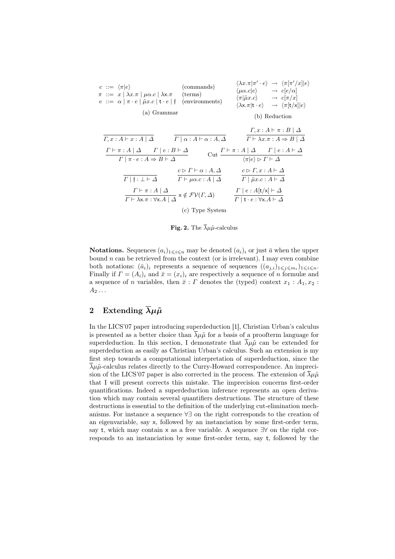| $c ::= \langle \pi   e \rangle$<br>$\pi$ ::= $x   \lambda x.\pi   \mu \alpha.c   \lambda x.\pi$ (terms)<br>$e ::= \alpha   \pi \cdot e   \tilde{\mu} x.c   t \cdot e   f$ (environments)<br>(a) Grammar                                                                                          | (commands)                                                                                          | $\langle \mu \alpha.c   e \rangle \longrightarrow c [e/\alpha]$<br>$\langle \pi   \tilde{\mu} x.c \rangle \longrightarrow c[\pi/x]$ | $\langle \lambda x. \pi   \pi' \cdot e \rangle \rightarrow \langle \pi   \pi'/x     e \rangle$<br>$\langle \lambda x. \pi   t \cdot e \rangle \rightarrow \langle \pi   t \rangle   e \rangle$<br>(b) Reduction |  |
|--------------------------------------------------------------------------------------------------------------------------------------------------------------------------------------------------------------------------------------------------------------------------------------------------|-----------------------------------------------------------------------------------------------------|-------------------------------------------------------------------------------------------------------------------------------------|-----------------------------------------------------------------------------------------------------------------------------------------------------------------------------------------------------------------|--|
|                                                                                                                                                                                                                                                                                                  |                                                                                                     |                                                                                                                                     |                                                                                                                                                                                                                 |  |
| $\Gamma, x:A \vdash x:A \mid \Delta$                                                                                                                                                                                                                                                             | $\Gamma \mid \alpha : A \vdash \alpha : A, \Delta$                                                  |                                                                                                                                     | $\Gamma, x:A \vdash \pi : B \mid \Delta$<br>$\Gamma \vdash \lambda x.\pi : A \Rightarrow B \mid \Delta$                                                                                                         |  |
| $\Gamma \vdash \pi : A \mid \Delta \qquad \Gamma \mid e : B \vdash \Delta$<br>$\Gamma \vdash \pi : A \mid \Delta \quad \Gamma \mid e : A \vdash \Delta$<br>$Cut -$<br>$\langle \pi   e \rangle \triangleright \Gamma \vdash \Delta$<br>$\Gamma \mid \pi \cdot e : A \Rightarrow B \vdash \Delta$ |                                                                                                     |                                                                                                                                     |                                                                                                                                                                                                                 |  |
| $\Gamma$   f : $\bot \vdash \Delta$                                                                                                                                                                                                                                                              | $c \triangleright \Gamma \vdash \alpha : A, \Delta$<br>$\Gamma \vdash \mu \alpha.c : A \mid \Delta$ | $c \triangleright \Gamma, x:A \vdash \Delta$<br>$\Gamma \mid \tilde{\mu}x.c:A\vdash \Delta$                                         |                                                                                                                                                                                                                 |  |
| $\frac{\Gamma\vdash \pi:A\mid \Delta}{\Gamma\vdash \lambda \mathsf{x}.\pi: \forall \mathsf{x}.A\mid \Delta} \times \notin \mathcal{FV}(\Gamma,\Delta)$                                                                                                                                           |                                                                                                     | $\Gamma \mid e : A[t/x] \vdash \Delta$<br>$\Gamma   t \cdot e : \forall x.A \vdash \Delta$                                          |                                                                                                                                                                                                                 |  |
| (c) Type System                                                                                                                                                                                                                                                                                  |                                                                                                     |                                                                                                                                     |                                                                                                                                                                                                                 |  |

Fig. 2. The  $\bar{\lambda}\mu\tilde{\mu}$ -calculus

**Notations.** Sequences  $(a_i)_{1\leq i\leq n}$  may be denoted  $(a_i)_i$  or just  $\bar{a}$  when the upper bound  $n$  can be retrieved from the context (or is irrelevant). I may even combine both notations:  $(\bar{a}_i)_i$  represents a sequence of sequences  $((a_{j,i})_{1\leqslant i\leqslant m_i})_{1\leqslant i\leqslant n}$ . Finally if  $\Gamma = (A_i)_i$  and  $\bar{x} = (x_i)_i$  are respectively a sequence of n formulæ and a sequence of n variables, then  $\bar{x}: \Gamma$  denotes the (typed) context  $x_1: A_1, x_2:$  $A_2 \ldots$ 

### 2 Extending  $\bar{\lambda}\mu\tilde{\mu}$

In the LICS'07 paper introducing superdeduction [1], Christian Urban's calculus is presented as a better choice than  $\bar{\lambda}\mu\tilde{\mu}$  for a basis of a proofterm language for superdeduction. In this section, I demonstrate that  $\overline{\lambda}\mu\tilde{\mu}$  can be extended for superdeduction as easily as Christian Urban's calculus. Such an extension is my first step towards a computational interpretation of superdeduction, since the  $\lambda \mu \tilde{\mu}$ -calculus relates directly to the Curry-Howard correspondence. An imprecision of the LICS'07 paper is also corrected in the process. The extension of  $\bar{\lambda}\mu\tilde{\mu}$ that I will present corrects this mistake. The imprecision concerns first-order quantifications. Indeed a superdeduction inference represents an open derivation which may contain several quantifiers destructions. The structure of these destructions is essential to the definition of the underlying cut-elimination mechanisms. For instance a sequence ∀∃ on the right corresponds to the creation of an eigenvariable, say x, followed by an instanciation by some first-order term, say t, which may contain x as a free variable. A sequence  $\exists \forall$  on the right corresponds to an instanciation by some first-order term, say t, followed by the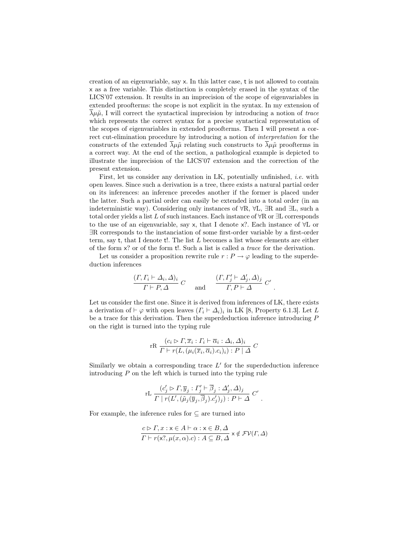creation of an eigenvariable, say x. In this latter case, t is not allowed to contain x as a free variable. This distinction is completely erased in the syntax of the LICS'07 extension. It results in an imprecision of the scope of eigenvariables in extended proofterms: the scope is not explicit in the syntax. In my extension of  $\overline{\lambda}\mu\tilde{\mu}$ , I will correct the syntactical imprecision by introducing a notion of trace which represents the correct syntax for a precise syntactical representation of the scopes of eigenvariables in extended proofterms. Then I will present a correct cut-elimination procedure by introducing a notion of interpretation for the constructs of the extended  $\overline{\lambda}\mu\tilde{\mu}$  relating such constructs to  $\overline{\lambda}\mu\tilde{\mu}$  proofterms in a correct way. At the end of the section, a pathological example is depicted to illustrate the imprecision of the LICS'07 extension and the correction of the present extension.

First, let us consider any derivation in LK, potentially unfinished, i.e. with open leaves. Since such a derivation is a tree, there exists a natural partial order on its inferences: an inference precedes another if the former is placed under the latter. Such a partial order can easily be extended into a total order (in an indeterministic way). Considering only instances of ∀R, ∀L, ∃R and ∃L, such a total order yields a list L of such instances. Each instance of  $\forall R$  or  $\exists L$  corresponds to the use of an eigenvariable, say x, that I denote x?. Each instance of ∀L or ∃R corresponds to the instanciation of some first-order variable by a first-order term, say t, that I denote t!. The list  $L$  becomes a list whose elements are either of the form x? or of the form t!. Such a list is called a trace for the derivation.

Let us consider a proposition rewrite rule  $r : P \to \varphi$  leading to the superdeduction inferences

$$
\frac{(\Gamma, \Gamma_i \vdash \Delta_i, \Delta)_i}{\Gamma \vdash P, \Delta} C \quad \text{and} \quad \frac{(\Gamma, \Gamma'_j \vdash \Delta'_j, \Delta)_j}{\Gamma, P \vdash \Delta} C'
$$

.

Let us consider the first one. Since it is derived from inferences of LK, there exists a derivation of  $\vdash \varphi$  with open leaves  $(\Gamma_i \vdash \Delta_i)_i$  in LK [8, Property 6.1.3]. Let L be a trace for this derivation. Then the superdeduction inference introducing P on the right is turned into the typing rule

$$
\text{rR}\ \frac{(c_i \rhd \Gamma, \overline{x}_i : \Gamma_i \vdash \overline{\alpha}_i : \Delta_i, \Delta)_i}{\Gamma \vdash r(L, (\mu_i(\overline{x}_i, \overline{\alpha}_i).c_i)_i) : P \mid \Delta} \ C
$$

Similarly we obtain a corresponding trace  $L'$  for the superdeduction inference introducing  $P$  on the left which is turned into the typing rule

rL 
$$
\frac{(c'_j \triangleright \Gamma, \overline{y}_j : \Gamma'_j \vdash \overline{\beta}_j : \Delta'_j, \Delta)_j}{\Gamma \mid r(L', (\tilde{\mu}_j(\overline{y}_j, \overline{\beta}_j).c'_j)_j) : P \vdash \Delta} C'
$$
.

For example, the inference rules for  $\subseteq$  are turned into

$$
\frac{c \rhd \Gamma, x: x \in A \vdash \alpha: x \in B, \Delta}{\Gamma \vdash r(x?, \mu(x, \alpha).c): A \subseteq B, \Delta} \times \notin \mathcal{FV}(\Gamma, \Delta)
$$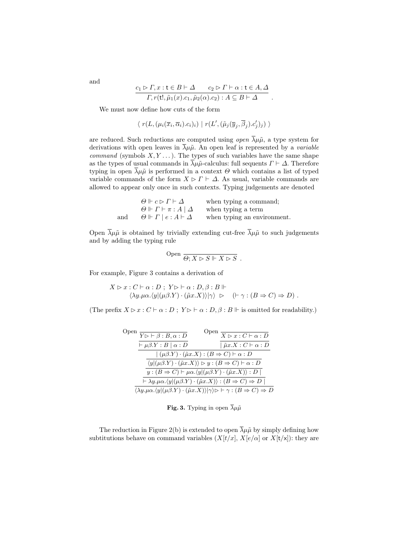$$
\frac{c_1 \rhd \Gamma, x : t \in B \vdash \Delta \qquad c_2 \rhd \Gamma \vdash \alpha : t \in A, \Delta}{\Gamma, r(t!, \tilde{\mu}_1(x).c_1, \tilde{\mu}_2(\alpha).c_2) : A \subseteq B \vdash \Delta}.
$$

We must now define how cuts of the form

$$
\langle r(L,(\mu_i(\overline{x}_i,\overline{\alpha}_i).c_i)_i) | r(L',(\tilde{\mu}_j(\overline{y}_j,\overline{\beta}_j).c'_j)_j) \rangle
$$

are reduced. Such reductions are computed using *open*  $\overline{\lambda}\mu\tilde{\mu}$ , a type system for derivations with open leaves in  $\overline{\lambda}\mu\tilde{\mu}$ . An open leaf is represented by a *variable command* (symbols  $X, Y, \ldots$ ). The types of such variables have the same shape as the types of usual commands in  $\overline{\lambda}\mu\tilde{\mu}$ -calculus: full sequents  $\Gamma \vdash \Delta$ . Therefore typing in open  $\overline{\lambda}\mu\tilde{\mu}$  is performed in a context  $\Theta$  which contains a list of typed variable commands of the form  $X \triangleright \Gamma \vdash \Delta$ . As usual, variable commands are allowed to appear only once in such contexts. Typing judgements are denoted

$$
\Theta \Vdash c \rhd \varGamma \vdash \varDelta \qquad \text{when typing a command;}
$$
  
\n
$$
\Theta \Vdash \varGamma \vdash \pi : A \mid \varDelta \qquad \text{when typing a term}
$$
  
\nand 
$$
\Theta \Vdash \varGamma \mid e : A \vdash \varDelta \qquad \text{when typing an environment.}
$$

Open  $\bar{\lambda}\mu\tilde{\mu}$  is obtained by trivially extending cut-free  $\bar{\lambda}\mu\tilde{\mu}$  to such judgements and by adding the typing rule

$$
Open \xrightarrow{\textcircled{\frown}} X \rhd S \Vdash X \rhd S .
$$

For example, Figure 3 contains a derivation of

$$
X \rhd x : C \vdash \alpha : D ; Y \rhd \vdash \alpha : D, \beta : B \Vdash
$$
  

$$
\langle \lambda y. \mu \alpha. \langle y | (\mu \beta. Y) \cdot (\tilde{\mu} x. X) \rangle | \gamma \rangle \rhd (\vdash \gamma : (B \Rightarrow C) \Rightarrow D) .
$$

(The prefix  $X \triangleright x : C \vdash \alpha : D$ ;  $Y \triangleright \vdash \alpha : D, \beta : B \Vdash$  is omitted for readability.)

| Open                                                                                                               | $\overline{Y \rhd \vdash \beta : B, \alpha : D}$ | Open<br>$\overline{X \rhd x : C \vdash \alpha : D}$                                                                                                                          |  |
|--------------------------------------------------------------------------------------------------------------------|--------------------------------------------------|------------------------------------------------------------------------------------------------------------------------------------------------------------------------------|--|
|                                                                                                                    | $\vdash \mu \beta.Y : B \mid \alpha : D$         | $\hat{\mu} x.X : C \vdash \alpha : D$                                                                                                                                        |  |
| $( (\mu \beta \cdot Y) \cdot (\tilde{\mu} x \cdot X) : (B \Rightarrow C) \vdash \alpha : D$                        |                                                  |                                                                                                                                                                              |  |
| $\langle y   (\mu \beta.Y) \cdot (\tilde{\mu} x.X) \rangle \triangleright y : (B \Rightarrow C) \vdash \alpha : D$ |                                                  |                                                                                                                                                                              |  |
| $y:(B \Rightarrow C) \vdash \mu \alpha. \langle y   (\mu \beta. Y) \cdot (\tilde{\mu} x. X) \rangle : D$           |                                                  |                                                                                                                                                                              |  |
|                                                                                                                    |                                                  | $\vdash \lambda y.\mu\alpha.\langle y (\mu\beta.Y)\cdot(\tilde{\mu}x.X)\rangle : (B \Rightarrow C) \Rightarrow D$                                                            |  |
|                                                                                                                    |                                                  | $\langle \lambda y. \mu \alpha. \langle y   (\mu \beta. Y) \cdot (\tilde{\mu} x. X) \rangle   \gamma \rangle \triangleright \vdash \gamma : (B \Rightarrow C) \Rightarrow D$ |  |

Fig. 3. Typing in open  $\bar{\lambda}\mu\tilde{\mu}$ 

The reduction in Figure 2(b) is extended to open  $\overline{\lambda}\mu\tilde{\mu}$  by simply defining how subtitutions behave on command variables  $(X[t/x], X[e/\alpha]$  or  $X[t/x]$ : they are

and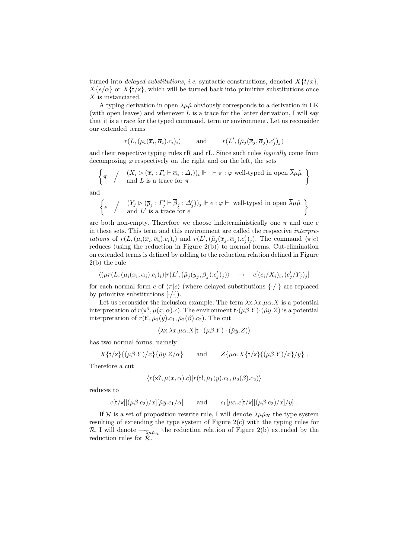turned into *delayed substitutions, i.e.* syntactic constructions, denoted  $X\{t/x\}$ ,  $X\{e/\alpha\}$  or  $X\{t/x\}$ , which will be turned back into primitive substitutions once  $X$  is instanciated.

A typing derivation in open  $\overline{\lambda}\mu\tilde{\mu}$  obviously corresponds to a derivation in LK (with open leaves) and whenever  $L$  is a trace for the latter derivation, I will say that it is a trace for the typed command, term or environment. Let us reconsider our extended terms

$$
r(L, (\mu_i(\overline{x}_i, \overline{\alpha}_i).c_i)_i)
$$
 and  $r(L', (\tilde{\mu}_j(\overline{x}_j, \overline{\alpha}_j).c'_j)_j)$ 

and their respective typing rules rR and rL. Since such rules logically come from decomposing  $\varphi$  respectively on the right and on the left, the sets

$$
\left\{\pi \quad / \quad (X_i \triangleright (\overline{x}_i : \Gamma_i \vdash \overline{\alpha}_i : \Delta_i))_i \Vdash \vdash \pi : \varphi \text{ well-typed in open } \overline{\lambda} \mu \tilde{\mu} \right\}
$$
\n
$$
\left\{\pi \quad / \quad \text{and } L \text{ is a trace for } \pi \right\}
$$

and

$$
\left\{e \quad \Big/ \quad \begin{array}{l} (Y_j \rhd (\overline{y}_j : \varGamma_j' \vdash \overline{\beta}_j : \varDelta_j'))_j \Vdash e : \varphi \vdash \text{ well-typed in open } \overline{\lambda}\mu\tilde{\mu} \\ \text{and } L' \text{ is a trace for } e \end{array}\right\}
$$

are both non-empty. Therefore we choose indeterministically one  $\pi$  and one e in these sets. This term and this environment are called the respective interpretations of  $r(L, (\mu_i(\overline{x}_i, \overline{\alpha}_i).c_i)_i)$  and  $r(L', (\tilde{\mu}_j(\overline{x}_j, \overline{\alpha}_j).c'_j)_j)$ . The command  $\langle \pi | e \rangle$ reduces (using the reduction in Figure 2(b)) to normal forms. Cut-elimination on extended terms is defined by adding to the reduction relation defined in Figure 2(b) the rule

$$
\langle (\mu r(L, (\mu_i(\overline{x}_i, \overline{\alpha}_i).c_i)_i) | r(L', (\tilde{\mu}_j(\overline{y}_j, \overline{\beta}_j).c'_j)_j) \rangle \longrightarrow c[(c_i/X_i)_i, (c'_j/Y_j)_j]
$$

for each normal form c of  $\langle \pi | e \rangle$  (where delayed substitutions  $\{\cdot/\cdot\}$ ) are replaced by primitive substitutions  $[\cdot/\cdot]$ ).

Let us reconsider the inclusion example. The term  $\lambda x.\mu \alpha.X$  is a potential interpretation of  $r(x, \mu(x, \alpha), c)$ . The environment  $t \cdot (\mu \beta Y) \cdot (\tilde{\mu} y. Z)$  is a potential interpretation of  $r(\mathsf{t}!, \tilde{\mu}_1(y).c_1, \tilde{\mu}_2(\beta).c_2)$ . The cut

$$
\langle \lambda x. \lambda x. \mu \alpha. X | t \cdot (\mu \beta. Y) \cdot (\tilde{\mu} y. Z) \rangle
$$

has two normal forms, namely

$$
X\{\mathsf{t}/\mathsf{x}\}\{(\mu\beta.Y)/x\}\{\tilde{\mu}y.Z/\alpha\} \quad \text{and} \quad Z\{\mu\alpha.X\{\mathsf{t}/\mathsf{x}\}\{(\mu\beta.Y)/x\}/y\}.
$$

Therefore a cut

$$
\langle r(\mathsf{x}^?,\mu(x,\alpha).c)|r(\mathsf{t}!,\tilde{\mu}_1(y).c_1,\tilde{\mu}_2(\beta).c_2)\rangle
$$

reduces to

$$
c[\mathbf{t}/\mathbf{x}][(\mu \beta.c_2)/x][\tilde{\mu}y.c_1/\alpha]
$$
 and  $c_1[\mu \alpha.c[\mathbf{t}/\mathbf{x}][(\mu \beta.c_2)/x]/y]$ .

If R is a set of proposition rewrite rule, I will denote  $\overline{\lambda} \mu \tilde{\mu}_R$  the type system resulting of extending the type system of Figure 2(c) with the typing rules for R. I will denote  $\rightarrow_{\overline{\lambda}\mu\tilde{\mu}_{\mathcal{R}}}$  the reduction relation of Figure 2(b) extended by the reduction rules for R.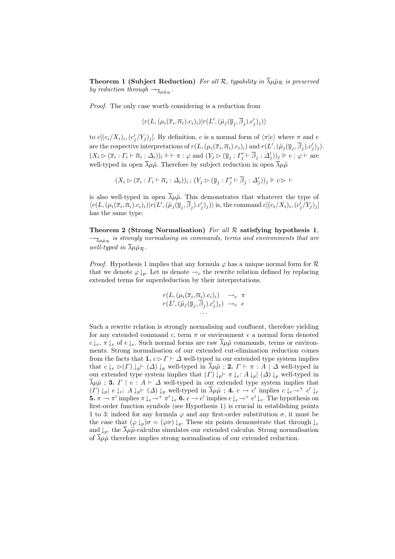**Theorem 1 (Subject Reduction)** For all R, typability in  $\overline{\lambda} \mu \tilde{\mu}_R$  is preserved by reduction through  $\rightarrow_{\overline{\lambda}\mu\tilde{\mu}\pi}$ .

Proof. The only case worth considering is a reduction from

$$
\langle r(L,(\mu_i(\overline{x}_i,\overline{\alpha}_i).c_i)_i)|r(L',(\tilde{\mu}_j(\overline{y}_j,\overline{\beta}_j).c'_j)_j)\rangle
$$

to  $c[(c_i/X_i)_i, (c'_j/Y_j)_j]$ . By definition, c is a normal form of  $\langle \pi | e \rangle$  where  $\pi$  and e are the respective interpretations of  $r(L, (\mu_i(\overline{x}_i, \overline{\alpha}_i).c_i)_i)$  and  $r(L', (\tilde{\mu}_j(\overline{y}_j, \overline{\beta}_j).c'_j)_j)$ .  $(X_i \triangleright (\overline{x}_i : \Gamma_i \vdash \overline{\alpha}_i : \Delta_i))_i \Vdash \vdash \pi : \varphi \text{ and } (Y_j \triangleright (\overline{y}_j : \Gamma'_j \vdash \overline{\beta}_j : \Delta'_j))_j \Vdash e : \varphi \vdash \text{are}$ well-typed in open  $\overline{\lambda}\mu\tilde{\mu}$ . Therefore by subject reduction in open  $\overline{\lambda}\mu\tilde{\mu}$ 

$$
(X_i \rhd (\overline{x}_i : \varGamma_i \vdash \overline{\alpha}_i : \varDelta_i))_i \, ; \, (Y_j \rhd (\overline{y}_j : \varGamma_j' \vdash \overline{\beta}_j : \varDelta_j'))_j \Vdash c \rhd \vdash
$$

is also well-typed in open  $\overline{\lambda}\mu\tilde{\mu}$ . This demonstrates that whatever the type of  $\langle r(L, (\mu_i(\overline{x}_i, \overline{\alpha}_i).c_i)_i) | r(L', (\tilde{\mu}_j(\overline{y}_j, \overline{\beta}_j).c'_j)_j) \rangle$  is, the command  $c[(c_i/X_i)_i, (c'_j/Y_j)_j]$ has the same type.

Theorem 2 (Strong Normalisation) For all  $R$  satisfying hypothesis 1,  $\rightarrow_{\overline{\lambda}\mu\tilde{\mu}_{\mathcal{R}}}$  is strongly normalising on commands, terms and environments that are well-typed in  $\overline{\lambda}\mu\tilde{\mu}_R$ .

*Proof.* Hypothesis 1 implies that any formula  $\varphi$  has a unique normal form for  $\mathcal R$ that we denote  $\varphi \downarrow_p$ . Let us denote  $\rightarrow_e$  the rewrite relation defined by replacing extended terms for superdeduction by their interpretations.

$$
r(L, (\mu_i(\overline{x}_i, \overline{\alpha}_i).c_i)_i) \rightarrow_e \pi
$$
  

$$
r(L', (\tilde{\mu}_j(\overline{y}_j, \overline{\beta}_j).c'_j)_j) \rightarrow_e e
$$
  
...

Such a rewrite relation is strongly normalising and confluent, therefore yielding for any extended command c, term  $\pi$  or environment e a normal form denoted  $c \downarrow_e, \pi \downarrow_e$  of  $e \downarrow_e$ . Such normal forms are raw  $\overline{\lambda} \mu \tilde{\mu}$  commands, terms or environments. Strong normalisation of our extended cut-elimination reduction comes from the facts that 1.  $c \triangleright \Gamma \vdash \Delta$  well-typed in our extended type system implies that  $c \downarrow_e \vartriangleright (\Gamma) \downarrow_p \vdash (\Delta) \downarrow_p$  well-typed in  $\lambda \mu \tilde{\mu}$ ; 2.  $\Gamma \vdash \pi : A \mid \Delta$  well-typed in our extended type system implies that  $(\Gamma) \downarrow_p \vdash \pi \downarrow_e: A \downarrow_p | (\Delta) \downarrow_p$  well-typed in  $\overline{\lambda}\mu\tilde{\mu}$ ; 3.  $\Gamma \mid e : A \vdash \Delta$  well-typed in our extended type system implies that  $(T) \downarrow_p \mid e \downarrow_e: A \downarrow_p \vdash (\Delta) \downarrow_p$  well-typed in  $\overline{\lambda} \mu \tilde{\mu}$ ; 4.  $c \to c'$  implies  $c \downarrow_e \to^+ c' \downarrow_e$ **5.**  $\pi \to \pi'$  implies  $\pi \downarrow_e \to^+ \pi' \downarrow_e$  **6.**  $e \to e'$  implies  $e \downarrow_e \to^+ e' \downarrow_e$ . The hypothesis on first-order function symbols (see Hypothesis 1) is crucial in establishing points 1 to 3: indeed for any formula  $\varphi$  and any first-order substitution  $\sigma$ , it must be the case that  $(\varphi \downarrow_p) \sigma = (\varphi \sigma) \downarrow_p$ . These six points demonstrate that through  $\downarrow_e$ and  $\downarrow_p$ , the  $\lambda \mu \tilde{\mu}$ -calculus simulates our extended calculus. Strong normalisation of  $\lambda \mu \tilde{\mu}$  therefore implies strong normalisation of our extended reduction.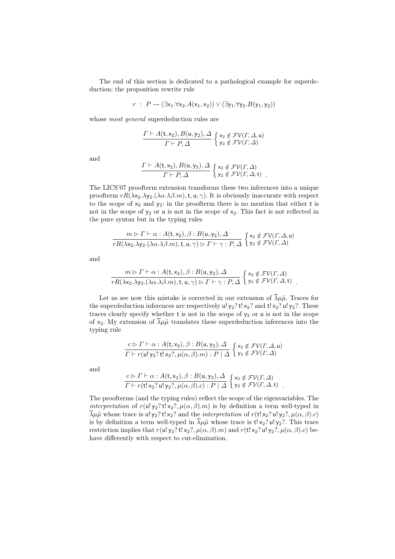The end of this section is dedicated to a pathological example for superdeduction: the proposition rewrite rule

 $r : P \rightarrow (\exists x_1.\forall x_2.A(x_1,x_2)) \vee (\exists y_1.\forall y_2.B(y_1,y_2))$ 

whose *most general* superdeduction rules are

$$
\frac{\Gamma \vdash A(t, x_2), B(u, y_2), \Delta}{\Gamma \vdash P, \Delta} \left\{ \begin{matrix} x_2 \notin \mathcal{FV}(\Gamma, \Delta, u) \\ y_2 \notin \mathcal{FV}(\Gamma, \Delta) \end{matrix} \right.
$$

and

$$
\frac{\Gamma \vdash A(t, x_2), B(u, y_2), \Delta}{\Gamma \vdash P, \Delta} \left\{ \begin{matrix} x_2 \notin \mathcal{FV}(\Gamma, \Delta) \\ y_2 \notin \mathcal{FV}(\Gamma, \Delta, t) \end{matrix} \right\}
$$

The LICS'07 proofterm extension transforms these two inferences into a unique proofterm  $rR(\lambda x_2.\lambda y_2.(\lambda \alpha.\lambda \beta.m),t,u,\gamma)$ . It is obviously inaccurate with respect to the scope of  $x_2$  and  $y_2$ : in the proofterm there is no mention that either t is not in the scope of  $y_2$  or u is not in the scope of  $x_2$ . This fact is not reflected in the pure syntax but in the typing rules

$$
\frac{m \triangleright \Gamma \vdash \alpha : A(t, x_2), \beta : B(u, y_2), \Delta}{rR(\lambda x_2.\lambda y_2.(\lambda \alpha.\lambda \beta.m), t, u, \gamma) \triangleright \Gamma \vdash \gamma : P, \Delta} \left\{ \begin{matrix} x_2 \notin \mathcal{FV}(\Gamma, \Delta, u) \\ y_2 \notin \mathcal{FV}(\Gamma, \Delta) \end{matrix} \right\}
$$

and

$$
\frac{m \triangleright \Gamma \vdash \alpha : A(t, x_2), \beta : B(u, y_2), \Delta}{rR(\lambda x_2.\lambda y_2.(\lambda \alpha.\lambda \beta.m), t, u, \gamma) \triangleright \Gamma \vdash \gamma : P, \Delta} \begin{cases} x_2 \notin \mathcal{FV}(\Gamma, \Delta) \\ y_2 \notin \mathcal{FV}(\Gamma, \Delta, t) \end{cases}
$$

Let us see now this mistake is corrected in our extension of  $\overline{\lambda}\mu\tilde{\mu}$ . Traces for the superdeduction inferences are respectively  $u! y_2? t! x_2?$  and  $t! x_2? u! y_2?$ . These traces clearly specify whether  $t$  is not in the scope of  $y_2$  or  $u$  is not in the scope of x<sub>2</sub>. My extension of  $\overline{\lambda}\mu\tilde{\mu}$  translates these superdeduction inferences into the typing rule

$$
\frac{c \triangleright \Gamma \vdash \alpha : A(t, x_2), \beta : B(u, y_2), \Delta}{\Gamma \vdash r(u! y_2? t! x_2? , \mu(\alpha, \beta). m) : P \mid \Delta} \left\{ \begin{matrix} x_2 \notin \mathcal{FV}(\Gamma, \Delta, u) \\ y_2 \notin \mathcal{FV}(\Gamma, \Delta) \end{matrix} \right.
$$

and

$$
\frac{c \rhd \Gamma \vdash \alpha : A(t, x_2), \beta : B(u, y_2), \Delta}{\Gamma \vdash r(t! x_2? u! y_2?, \mu(\alpha, \beta). c) : P \mid \Delta} \left\{ \begin{matrix} x_2 \notin \mathcal{FV}(\Gamma, \Delta) \\ y_2 \notin \mathcal{FV}(\Gamma, \Delta, t) \end{matrix} \right\}.
$$

The proofterms (and the typing rules) reflect the scope of the eigenvariables. The *interpretation* of  $r(u! y_2? t! x_2?$ ,  $\mu(\alpha, \beta).m)$  is by definition a term well-typed in  $\overline{\lambda}\mu\tilde{\mu}$  whose trace is u! y<sub>2</sub>? t! x<sub>2</sub>? and the *interpretation* of  $r(t|x_2; u|y_2; \mu(\alpha, \beta).c)$ is by definition a term well-typed in  $\overline{\lambda}\mu\tilde{\mu}$  whose trace is t!x<sub>2</sub>? u!y<sub>2</sub>?. This trace restriction implies that  $r(u! y_2? t! x_2?$ ,  $\mu(\alpha, \beta)$ .m) and  $r(t! x_2? u! y_2?$ ,  $\mu(\alpha, \beta)$ .c) behave differently with respect to cut-elimination.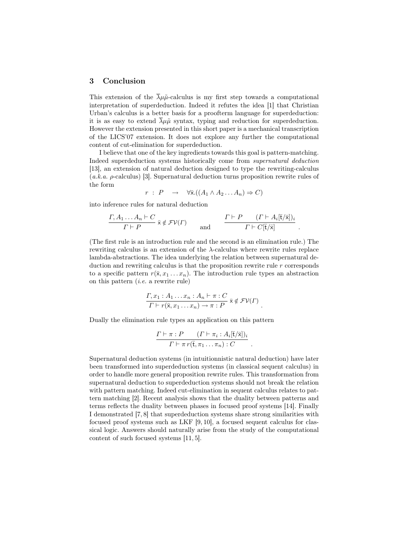#### 3 Conclusion

This extension of the  $\bar{\lambda}\mu\tilde{\mu}$ -calculus is my first step towards a computational interpretation of superdeduction. Indeed it refutes the idea [1] that Christian Urban's calculus is a better basis for a proofterm language for superdeduction: it is as easy to extend  $\overline{\lambda}\mu\tilde{\mu}$  syntax, typing and reduction for superdeduction. However the extension presented in this short paper is a mechanical transcription of the LICS'07 extension. It does not explore any further the computational content of cut-elimination for superdeduction.

I believe that one of the key ingredients towards this goal is pattern-matching. Indeed superdeduction systems historically come from supernatural deduction [13], an extension of natural deduction designed to type the rewriting-calculus  $(a.k.a. \rho\text{-calculus})$  [3]. Supernatural deduction turns proposition rewrite rules of the form

$$
r : P \rightarrow \forall \bar{x}.((A_1 \wedge A_2 ... A_n) \Rightarrow C)
$$

into inference rules for natural deduction

$$
\frac{\Gamma, A_1 \dots A_n \vdash C}{\Gamma \vdash P} \bar{x} \notin \mathcal{FV}(\Gamma) \quad \text{and} \quad \frac{\Gamma \vdash P \quad (\Gamma \vdash A_i[\bar{t}/\bar{x}])_i}{\Gamma \vdash C[\bar{t}/\bar{x}]}.
$$

(The first rule is an introduction rule and the second is an elimination rule.) The rewriting calculus is an extension of the  $\lambda$ -calculus where rewrite rules replace lambda-abstractions. The idea underlying the relation between supernatural deduction and rewriting calculus is that the proposition rewrite rule r corresponds to a specific pattern  $r(\bar{x}, x_1 \ldots x_n)$ . The introduction rule types an abstraction on this pattern  $(i.e.$  a rewrite rule)

$$
\frac{\Gamma, x_1 : A_1 \dots x_n : A_n \vdash \pi : C}{\Gamma \vdash r(\bar{x}, x_1 \dots x_n) \to \pi : P} \ \bar{x} \notin \mathcal{FV}(\Gamma) \ .
$$

Dually the elimination rule types an application on this pattern

$$
\frac{\Gamma \vdash \pi : P \quad ( \Gamma \vdash \pi_i : A_i[\mathfrak{x} / \bar{\mathfrak{x}}] )_i}{\Gamma \vdash \pi r(\bar{\mathfrak{x}}, \pi_1 \ldots \pi_n) : C} \ .
$$

Supernatural deduction systems (in intuitionnistic natural deduction) have later been transformed into superdeduction systems (in classical sequent calculus) in order to handle more general proposition rewrite rules. This transformation from supernatural deduction to superdeduction systems should not break the relation with pattern matching. Indeed cut-elimination in sequent calculus relates to pattern matching [2]. Recent analysis shows that the duality between patterns and terms reflects the duality between phases in focused proof systems [14]. Finally I demonstrated [7, 8] that superdeduction systems share strong similarities with focused proof systems such as LKF  $[9, 10]$ , a focused sequent calculus for classical logic. Answers should naturally arise from the study of the computational content of such focused systems [11, 5].